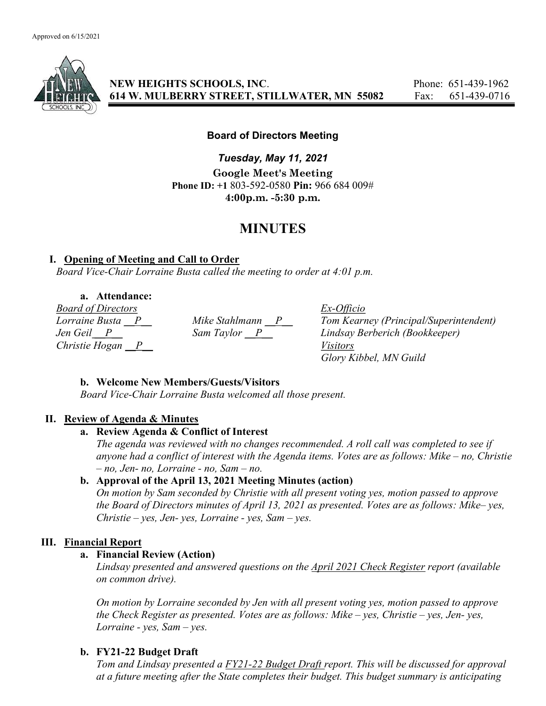

NEW HEIGHTS SCHOOLS, INC. Phone: 651-439-1962 614 W. MULBERRY STREET, STILLWATER, MN 55082 Fax: 651-439-0716

## Board of Directors Meeting

Tuesday, May 11, 2021 Google Meet's Meeting Phone ID: +1 803-592-0580 Pin: 966 684 009# 4:00p.m. -5:30 p.m.

## MINUTES

## I. Opening of Meeting and Call to Order

Board Vice-Chair Lorraine Busta called the meeting to order at 4:01 p.m.

a. Attendance:

Board of Directors Ex-Officio Christie Hogan  $\overline{P}$  Visitors

Lorraine Busta  $\underline{P}$  Mike Stahlmann  $\underline{P}$  Tom Kearney (Principal/Superintendent)<br>Jen Geil  $\underline{P}$  Sam Taylor  $\underline{P}$  Lindsay Berberich (Bookkeeper) Lindsay Berberich (Bookkeeper) Glory Kibbel, MN Guild

## b. Welcome New Members/Guests/Visitors

Board Vice-Chair Lorraine Busta welcomed all those present.

## II. Review of Agenda & Minutes

## a. Review Agenda & Conflict of Interest

The agenda was reviewed with no changes recommended. A roll call was completed to see if anyone had a conflict of interest with the Agenda items. Votes are as follows: Mike – no, Christie – no, Jen- no, Lorraine - no, Sam – no.

## b. Approval of the April 13, 2021 Meeting Minutes (action)

On motion by Sam seconded by Christie with all present voting yes, motion passed to approve the Board of Directors minutes of April 13, 2021 as presented. Votes are as follows: Mike– yes,  $Christie - yes, Jen- yes, Lorraine - yes, Sam- yes.$ 

## III. Financial Report

## a. Financial Review (Action)

Lindsay presented and answered questions on the April 2021 Check Register report (available on common drive).

On motion by Lorraine seconded by Jen with all present voting yes, motion passed to approve the Check Register as presented. Votes are as follows: Mike – yes, Christie – yes, Jen- yes, Lorraine - yes,  $Sam - yes$ .

## b. FY21-22 Budget Draft

Tom and Lindsay presented a FY21-22 Budget Draft report. This will be discussed for approval at a future meeting after the State completes their budget. This budget summary is anticipating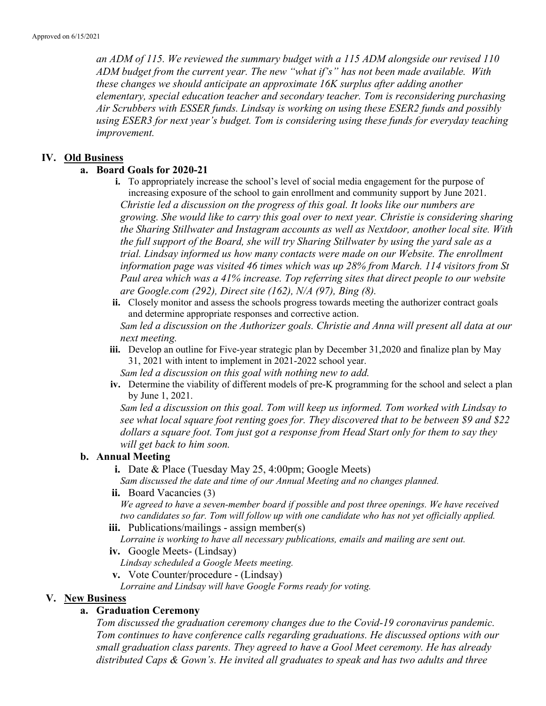an ADM of 115. We reviewed the summary budget with a 115 ADM alongside our revised 110 ADM budget from the current year. The new "what if's" has not been made available. With these changes we should anticipate an approximate 16K surplus after adding another elementary, special education teacher and secondary teacher. Tom is reconsidering purchasing Air Scrubbers with ESSER funds. Lindsay is working on using these ESER2 funds and possibly using ESER3 for next year's budget. Tom is considering using these funds for everyday teaching improvement.

#### IV. Old Business

#### a. Board Goals for 2020-21

- i. To appropriately increase the school's level of social media engagement for the purpose of increasing exposure of the school to gain enrollment and community support by June 2021. Christie led a discussion on the progress of this goal. It looks like our numbers are growing. She would like to carry this goal over to next year. Christie is considering sharing the Sharing Stillwater and Instagram accounts as well as Nextdoor, another local site. With the full support of the Board, she will try Sharing Stillwater by using the yard sale as a trial. Lindsay informed us how many contacts were made on our Website. The enrollment information page was visited 46 times which was up 28% from March. 114 visitors from St Paul area which was a 41% increase. Top referring sites that direct people to our website are Google.com (292), Direct site (162), N/A (97), Bing (8).
- ii. Closely monitor and assess the schools progress towards meeting the authorizer contract goals and determine appropriate responses and corrective action. Sam led a discussion on the Authorizer goals. Christie and Anna will present all data at our next meeting.
- iii. Develop an outline for Five-year strategic plan by December 31,2020 and finalize plan by May 31, 2021 with intent to implement in 2021-2022 school year.

Sam led a discussion on this goal with nothing new to add.

iv. Determine the viability of different models of pre-K programming for the school and select a plan by June 1, 2021.

Sam led a discussion on this goal. Tom will keep us informed. Tom worked with Lindsay to see what local square foot renting goes for. They discovered that to be between \$9 and \$22 dollars a square foot. Tom just got a response from Head Start only for them to say they will get back to him soon.

#### b. Annual Meeting

i. Date & Place (Tuesday May 25, 4:00pm; Google Meets)

Sam discussed the date and time of our Annual Meeting and no changes planned.

ii. Board Vacancies (3)

We agreed to have a seven-member board if possible and post three openings. We have received two candidates so far. Tom will follow up with one candidate who has not yet officially applied.

iii. Publications/mailings - assign member(s)

Lorraine is working to have all necessary publications, emails and mailing are sent out.

iv. Google Meets- (Lindsay)

Lindsay scheduled a Google Meets meeting.

v. Vote Counter/procedure - (Lindsay)

Lorraine and Lindsay will have Google Forms ready for voting.

#### V. New Business

#### a. Graduation Ceremony

Tom discussed the graduation ceremony changes due to the Covid-19 coronavirus pandemic. Tom continues to have conference calls regarding graduations. He discussed options with our small graduation class parents. They agreed to have a Gool Meet ceremony. He has already distributed Caps & Gown's. He invited all graduates to speak and has two adults and three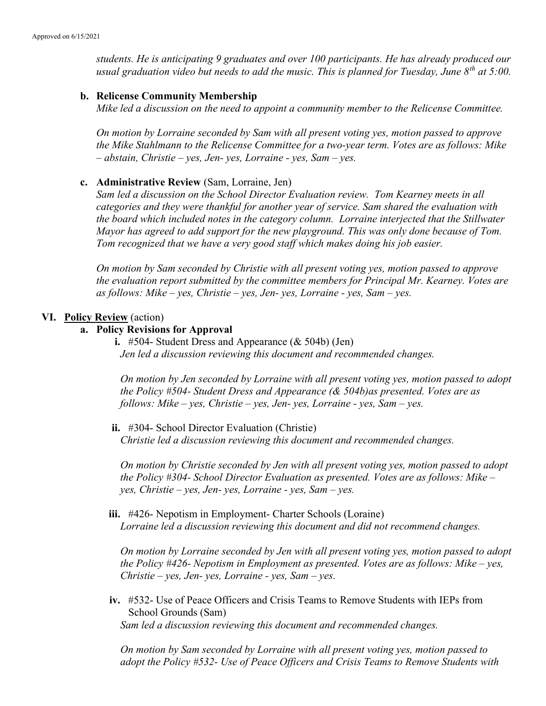students. He is anticipating 9 graduates and over 100 participants. He has already produced our usual graduation video but needs to add the music. This is planned for Tuesday, June  $8^{th}$  at 5:00.

#### b. Relicense Community Membership

Mike led a discussion on the need to appoint a community member to the Relicense Committee.

On motion by Lorraine seconded by Sam with all present voting yes, motion passed to approve the Mike Stahlmann to the Relicense Committee for a two-year term. Votes are as follows: Mike  $-$  abstain, Christie – yes, Jen- yes, Lorraine - yes, Sam – yes.

#### c. Administrative Review (Sam, Lorraine, Jen)

Sam led a discussion on the School Director Evaluation review. Tom Kearney meets in all categories and they were thankful for another year of service. Sam shared the evaluation with the board which included notes in the category column. Lorraine interjected that the Stillwater Mayor has agreed to add support for the new playground. This was only done because of Tom. Tom recognized that we have a very good staff which makes doing his job easier.

On motion by Sam seconded by Christie with all present voting yes, motion passed to approve the evaluation report submitted by the committee members for Principal Mr. Kearney. Votes are as follows: Mike – yes, Christie – yes, Jen- yes, Lorraine - yes, Sam – yes.

#### VI. Policy Review (action)

#### a. Policy Revisions for Approval

i. #504- Student Dress and Appearance  $(\&$  504b) (Jen) Jen led a discussion reviewing this document and recommended changes.

On motion by Jen seconded by Lorraine with all present voting yes, motion passed to adopt the Policy  $#504$ - Student Dress and Appearance (& 504b) as presented. Votes are as follows: Mike – yes, Christie – yes, Jen- yes, Lorraine - yes, Sam – yes.

ii. #304- School Director Evaluation (Christie) Christie led a discussion reviewing this document and recommended changes.

On motion by Christie seconded by Jen with all present voting yes, motion passed to adopt the Policy #304- School Director Evaluation as presented. Votes are as follows: Mike –  $yes, Christie - yes, Jen- yes, Lorraine - yes, Sam - yes.$ 

iii. #426- Nepotism in Employment- Charter Schools (Loraine) Lorraine led a discussion reviewing this document and did not recommend changes.

On motion by Lorraine seconded by Jen with all present voting yes, motion passed to adopt the Policy  $#426$ - Nepotism in Employment as presented. Votes are as follows: Mike – yes,  $Christie - yes, Jen- yes, Lorraine - yes, Sam - yes.$ 

iv. #532- Use of Peace Officers and Crisis Teams to Remove Students with IEPs from School Grounds (Sam) Sam led a discussion reviewing this document and recommended changes.

On motion by Sam seconded by Lorraine with all present voting yes, motion passed to adopt the Policy #532- Use of Peace Officers and Crisis Teams to Remove Students with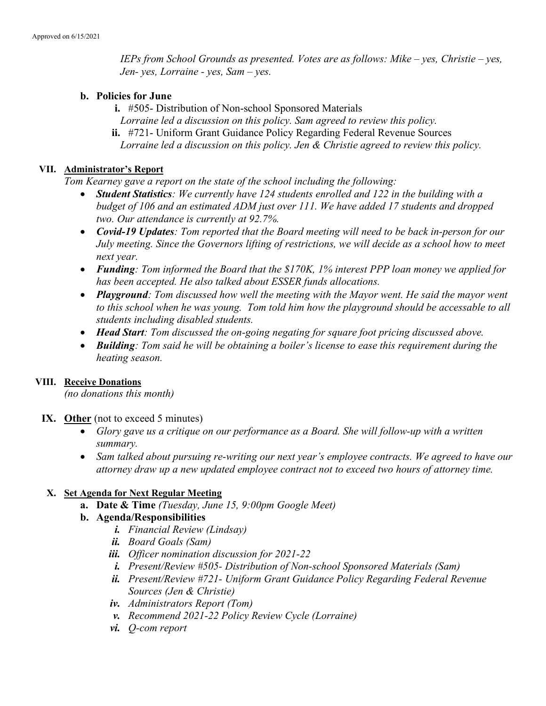IEPs from School Grounds as presented. Votes are as follows: Mike – yes, Christie – yes, Jen- yes, Lorraine - yes, Sam – yes.

#### b. Policies for June

- i. #505- Distribution of Non-school Sponsored Materials
- Lorraine led a discussion on this policy. Sam agreed to review this policy.
- ii. #721- Uniform Grant Guidance Policy Regarding Federal Revenue Sources Lorraine led a discussion on this policy. Jen & Christie agreed to review this policy.

## VII. Administrator's Report

Tom Kearney gave a report on the state of the school including the following:

- Student Statistics: We currently have 124 students enrolled and 122 in the building with a budget of 106 and an estimated ADM just over 111. We have added 17 students and dropped two. Our attendance is currently at 92.7%.
- Covid-19 Updates: Tom reported that the Board meeting will need to be back in-person for our July meeting. Since the Governors lifting of restrictions, we will decide as a school how to meet next year.
- Funding: Tom informed the Board that the \$170K, 1% interest PPP loan money we applied for has been accepted. He also talked about ESSER funds allocations.
- Playground: Tom discussed how well the meeting with the Mayor went. He said the mayor went to this school when he was young. Tom told him how the playground should be accessable to all students including disabled students.
- Head Start: Tom discussed the on-going negating for square foot pricing discussed above.
- Building: Tom said he will be obtaining a boiler's license to ease this requirement during the heating season.

#### VIII. Receive Donations

(no donations this month)

- IX. Other (not to exceed 5 minutes)
	- Glory gave us a critique on our performance as a Board. She will follow-up with a written summary.
	- Sam talked about pursuing re-writing our next year's employee contracts. We agreed to have our attorney draw up a new updated employee contract not to exceed two hours of attorney time.

## X. Set Agenda for Next Regular Meeting

- a. Date & Time (Tuesday, June 15, 9:00pm Google Meet)
- b. Agenda/Responsibilities
	- i. Financial Review (Lindsay)
	- ii. Board Goals (Sam)
	- iii. Officer nomination discussion for 2021-22
	- i. Present/Review #505- Distribution of Non-school Sponsored Materials (Sam)
	- ii. Present/Review #721- Uniform Grant Guidance Policy Regarding Federal Revenue Sources (Jen & Christie)
	- iv. Administrators Report (Tom)
	- v. Recommend 2021-22 Policy Review Cycle (Lorraine)
	- vi. Q-com report